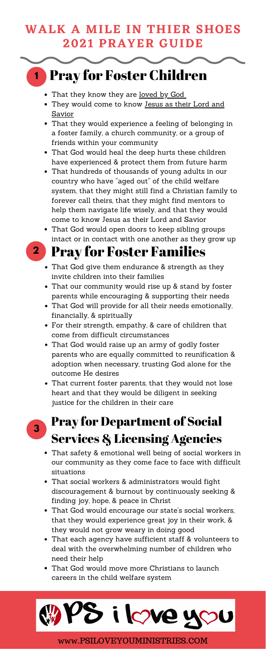#### **WALK A MILE IN THIER SHOES 2021 PRAYER GUIDE**

**3**

- That they know they are loved by God
- They would come to know Jesus as their Lord and Savior
- That they would experience a feeling of belonging in a foster family, a church community, or a group of friends within your community
- That God would heal the deep hurts these children have experienced & protect them from future harm
- That hundreds of thousands of young adults in our country who have "aged out" of the child welfare system, that they might still find a Christian family to forever call theirs, that they might find mentors to help them navigate life wisely, and that they would come to know Jesus as their Lord and Savior
- That God would open doors to keep sibling groups intact or in contact with one another as they grow up
- 

- That God give them endurance & strength as they invite children into their families
- That our community would rise up & stand by foster parents while encouraging & supporting their needs
- That God will provide for all their needs emotionally, financially, & spiritually
- For their strength, empathy, & care of children that come from difficult circumstances
- That God would raise up an army of godly foster parents who are equally committed to reunification & adoption when necessary, trusting God alone for the outcome He desires
- That current foster parents, that they would not lose heart and that they would be diligent in seeking

**1** Pray for Foster Children

### **2** Pray for Foster Families

justice for the children in their care

## Pray for Department of Social Services & Licensing Agencies

- That safety & emotional well being of social workers in our community as they come face to face with difficult situations
- That social workers & administrators would fight discouragement & burnout by continuously seeking & finding joy, hope, & peace in Christ
- That God would encourage our state's social workers, that they would experience great joy in their work, & they would not grow weary in doing good
- That each agency have sufficient staff & volunteers to deal with the overwhelming number of children who need their help
- That God would move more Christians to launch careers in the child welfare system



www.PSILOVEYOUMINISTRIES.COM